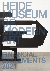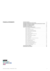# **FINANCIAL STATEMENTS**<br> **BUTER IS A BUTER ASSESS**<br>
S

| STATEMENT OF PROFIT OR LOSS AND OTHER COMPREHENSIVE INCOME _____ 9                                                                                                                                                               |  |
|----------------------------------------------------------------------------------------------------------------------------------------------------------------------------------------------------------------------------------|--|
|                                                                                                                                                                                                                                  |  |
| STATEMENT OF CHANGES IN EQUITY <b>And Accord Contract Contract Contract Contract Contract Contract Contract Control</b>                                                                                                          |  |
|                                                                                                                                                                                                                                  |  |
|                                                                                                                                                                                                                                  |  |
|                                                                                                                                                                                                                                  |  |
| Note 2: Revenue 2008 and 2009 and 2009 and 2009 and 2009 and 2009 and 2009 and 2009 and 2009 and 2009 and 2009 $\sim$ 2009 and 2009 and 2009 and 2009 and 2009 and 2009 and 2009 and 2009 and 2009 and 2009 and 2009 and 2009 an |  |
| Note 3: Surplus for the Year 20                                                                                                                                                                                                  |  |
| Note 4: Cash and Cash Equivalents <b>Manual Constructs</b> 20                                                                                                                                                                    |  |
|                                                                                                                                                                                                                                  |  |
|                                                                                                                                                                                                                                  |  |
|                                                                                                                                                                                                                                  |  |
|                                                                                                                                                                                                                                  |  |
|                                                                                                                                                                                                                                  |  |
|                                                                                                                                                                                                                                  |  |
|                                                                                                                                                                                                                                  |  |
|                                                                                                                                                                                                                                  |  |
|                                                                                                                                                                                                                                  |  |
| Note 14: Reserves 27                                                                                                                                                                                                             |  |
|                                                                                                                                                                                                                                  |  |
|                                                                                                                                                                                                                                  |  |
|                                                                                                                                                                                                                                  |  |
|                                                                                                                                                                                                                                  |  |
| Note 19: Contra Sponsorship <b>[201]</b> Note 19: Contra Sponsorship <b>[201]</b> 21                                                                                                                                             |  |
|                                                                                                                                                                                                                                  |  |
|                                                                                                                                                                                                                                  |  |
|                                                                                                                                                                                                                                  |  |
|                                                                                                                                                                                                                                  |  |

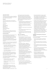#### DIRECTORS' REPORT

The Directors present this report on Heide Park and Art Gallery (the Company) for the financial year ended 31 December 2021.

#### Directors

The names of each person who has been a director during the year and to the date of this report are:

Lisa Gorman John Lee Cassy Liberman Steven Skala AO Sue Smith Nancy Underhill James Van Smeerdijk Sharni Zoch

Directors have been in office since the start of the financial year to the date of this report unless otherwise stated.

#### Principal Activities

The principal activities of the Company during the financial year were to research and deliver outstanding exhibitions, publications, education and public programs that profiled artists central to Heide's history and contemporary art practice, and that displayed and interpreted Heide's nationally significant collection.

The effects of being closed due to the COVID-19 pandemic for 4 months in 2021 compared to 8 months in 2020 resulted in:

- An increase in operational revenue from admissions, public and learning programs, retail operations and venue hire,
- An increase in café rental from the Café Heide operator, and
- An increase in programming expenditure, retail cost of goods sold.

In 2021 there was a significant reduction in funds received by the Company from Federal Government's COVID-19 JobKeeper program which ended in March 2021.

The Federal and State Governments gave various pandemic related assistance packages during 2021 including:

- the Federal Government's JobKeeper program through to March 2021,
- Creative Victoria Strategic investment packages, and
- Victorian Government COVID Business Support grants.

Heide Park and Gallery | ABN: 60 005 712 943 Following several lockdowns in 2021, the museum galleries re-opened to the public on 30 October 2021, subject to indoor people density controls in place.

Over the past 2 years of the pandemic the activities of the company have been significantly affected due to approximately 12 months of lockdowns. When comparing operations during pandemic years of 2021 and 2020 compared to pre-pandemic years the effect has been:

- A significant decline in operational revenue from admissions, public and learning programs, retail operations and venue hire,
- A reduction in development funding for exhibition and project sponsorships and donations,
- Abatement of café rental for the Café Heide operator,
- All but essential staff working from home during lockdowns, and
- Increasing the online offering of learning and public programs and our online retail offering.

#### Short-term objectives

Heide's short-term objectives are:

- Artistic leadership as an art museum to further develop its reputation as a leader of standards of excellence, innovation and outreach through exhibitions and programs embracing modern and contemporary art drawn from its Collection and external sources,
- Optimisation of Place expand on operational integration of Heide's three discrete exhibition buildings with the sculpture park and gardens and public amenities; through events and and programs, presenting Heide as a whole-ofsite diverse experience for visitors,
- Securing the future ensure financial, operational and environmental sustainability through asset maintenance and by diversifying sources of income across commercial operations, corporate and private philanthropy, and
- Audience engagement expand brand awareness and enhance engagement and communication with the general public, staff, volunteers, partners and supporters.

#### Long-term objectives

The company's long-term objectives are:

• Continue to offer an inspiring, educational and thought-provoking experience of modern and contemporary art, architecture, gardens and social history,

- Improve the facilities of a major museum and heritage site with a redevelopment that includes a new building incorporating increased gallery and public spaces, ensuring Heide's financial, operational and environmental sustainability, and
- Integrate Heide's strategic focus areas with the Victorian Creative State Government's Creative Enterprises Program principles and priorities (every Victorian can take up their right to participation in the cultural and creative life of the state, outer-metropolitan and regional areas have improved and more equitable access to cultural experiences creative expression and creative careers, stronger and enduring partnerships are forged with First Peoples creative communities, provide a range of health and wellbeing benefits for our visitors, staff, volunteers and artists, and that the creative industries reduce their environmental impact).

#### Strategy for achieving short and long-term objectives

To achieve these objectives, Heide has adopted the following strategies:

- Present a diverse program of exhibitions that promotes Heide as a major cultural venue,
- Develop the Heide collection and optimise public and education access to acquired art works,
- Optimise Heide's unique story and spaces to increase local, national and international audiences,
- Develop financially sustaining partnerships and long-term relationships with government to realise the masterplan redevelopment, and support core operations and asset maintenance,
- Maintain strong governance, and compliance with financial and risk management requirements, and
- Attract and retain quality staff and volunteers committed to offering high standards of customer service to engage a broad diverse audience.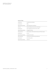#### Directors' Profiles

| Lisa Gorman              | Founder Gorman Clothing                                    |
|--------------------------|------------------------------------------------------------|
| Qualifications           | <b>BNSc</b>                                                |
| Special Responsibilities | Retail Collaboration and Advisor                           |
| John Lee                 | Director, McGlashan Everist Pty Ltd Architects             |
| Qualifications           | B.Arch, Registered Architect Victoria, FRAIA               |
| Special Responsibilities | Heritage Committee                                         |
| Cassy Liberman           | Owner/operator LJCB Investment Group and 5 Pillars Capital |
| Qualifications           | BA, LLB                                                    |
| Special Responsibilities | Investment Committee                                       |
| Steven Skala AO          | Vice Chairman Australia, Deutsche Bank AG                  |
| Qualifications           | BA, LLB (Hons), BCL                                        |
| Special Responsibilities | Chairman                                                   |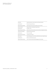| Sue Smith                | Executive Director, Human Resources, Simplot Australia             |
|--------------------------|--------------------------------------------------------------------|
| Qualifications           | BA, Post Graduate Diploma                                          |
| Special Responsibilities | Chair: Governance and Human Resources Committee                    |
| Nancy Underhill          | Deputy Director, Lisa Gasteen Opera School                         |
| Qualifications           | BA, MPhil., PhD                                                    |
| Special Responsibilities | Governance and Human Resources Committee, Heritage Committee       |
| James Van Smeerdijk      | Director, atticusnow Pty Ltd                                       |
|                          |                                                                    |
| Qualifications           | B.Sc. (Hons), MBA                                                  |
| Special Responsibilities | Investment Committee                                               |
| Sharni Zoch              | General Manager, Internal Audit and Risk Governance, Origin Energy |
| Qualifications           | BComm, Chartered Accountant                                        |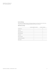## Directors' Meetings

The number of meetings of Directors (including meetings of committee of Directors) held during the year and the number of meetings attended by each Director, is as follows:

#### AGM & Board meetings

|                     | Number eligible to attend | Number attended |
|---------------------|---------------------------|-----------------|
| Lisa Gorman         | 7                         | 6               |
| John Lee            | 7                         | 7               |
| Cassy Liberman      |                           | 6               |
| Steven Skala AO     |                           |                 |
| Sue Smith           | 7                         | 7               |
| Nancy Underhill     |                           |                 |
| James Van Smeerdijk |                           | 7               |
| Sharni Zoch         |                           |                 |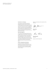#### Contribution in winding up

The Company is incorporated under the *Corporations Act 2001* and is a Company limited by guarantee. If the Company is wound up, the constitution states that each member is required to contribute a maximum of \$50 each towards meeting any outstanding obligations of the company. At 31 December 2021 the total amount that members of the Company are liable to contribute if the Company wound up is \$1,650 (2020: \$1,650).

#### Reporting obligations

As a company limited by guarantee the entity is registered with the Australian Charities and Not-for-profits Commission. The consequences of this registration are that (1) the previous reporting obligations under the *Corporations Act 2001* no longer apply, and (2) the company now needs to comply with the various reporting requirements contained in the *Australian Charities and Not-for-profits Commission Act 2012*.

#### Auditor's Independence Declaration

A copy of the Auditor's Independence Declaration as required under Division 60.40 of the *Australian Charities and Not-for-profits Commission Act 2012* is included as page 8 of this financial report and forms part of the Director's Report.

Signed in accordance with a resolution of the Directors.

Sharni Zoch Director

Hu Del

Steven Skala AO Chairman

Dated on the 9th of May 2022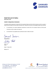

**ABN: 60 005 712 943** 

# **Auditor's Independence Declaration**

In accordance with the requirements of section 60.40 of the *Australian Charities and Not-for-Profits Commission Act 2012*, as auditor of Heide Park and Art Gallery for the year ended 31 December 2021, I declare that, to the best of my knowledge and belief, there have been:

a. No contraventions of the auditor independence requirements of section 60.40 of the *Australian Charities and Not-for-profits* 

 *Commission Act 2012* in relation to the audit; and

b. No contraventions of any applicable code of professional conduct in relation to the audit.

Ų

**Saward Dawson** 

Jeffrey Tulk Partner

Dated: 9 May 2022

Blackburn VIC



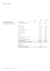#### STATEMENT OF PROFIT OR LOSS AND OTHER COMPREHENSIVE INCOME

For the Year Ended 31 December 2021

|                                                 |                | 2021          | 2020        |
|-------------------------------------------------|----------------|---------------|-------------|
|                                                 | Note           | \$            | \$          |
| Operating activities                            |                |               |             |
| Revenue from operating activities               | $\overline{2}$ | 4,602,196     | 4,908,896   |
| Programming expenses                            |                | (677,055)     | (333,735)   |
| Marketing expenses                              |                | (344, 420)    | (317, 636)  |
| Collection expenses                             |                | (118, 541)    | (99, 596)   |
| Commercial operations expenses                  |                | (23,006)      | (14, 393)   |
| Costs of goods sold                             |                | (190, 012)    | (169, 330)  |
| Repairs and maintenance                         |                | (282, 460)    | (340, 632)  |
| Grounds and gardens                             |                | (71,755)      | (65, 821)   |
| <b>Utilities</b>                                |                | (169, 897)    | (167,920)   |
| Insurance                                       |                | (99,702)      | (93, 840)   |
| Depreciation, amortisation and impairment       | 3:8            | (278, 801)    | (256, 817)  |
| Employee benefits expense                       |                | (2, 394, 772) | (2,324,217) |
| Other expenses from operating activities        |                | (213, 345)    | (246,711)   |
| Total operating expenses                        |                | (4,863,766)   | (4,430,648) |
| Net surplus (deficit) from operating activities |                | (261, 570)    | 478,248     |
| Investing activities                            |                |               |             |
| Brokerage costs                                 |                | (7, 915)      |             |
| Net deficit from investing activities           |                | (7, 915)      |             |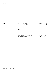#### STATEMENT OF PROFIT OR LOSS AND OTHER COMPREHENSIVE INCOME (cont)

For the Year Ended 31 December 2021

|                                                                        |                | 2021      | 2020      |
|------------------------------------------------------------------------|----------------|-----------|-----------|
|                                                                        | Note           | \$        | \$        |
| Capital activities                                                     |                |           |           |
| Donated works of art (at market value)                                 | $\mathfrak{D}$ | 500,400   | 603,780   |
| Net surplus from capital activities                                    |                | 500,400   | 603,780   |
|                                                                        |                |           |           |
| Net surplus for the year from all activities                           |                | 230,915   | 1,082,028 |
|                                                                        |                |           |           |
| Other comprehensive income                                             |                |           |           |
| Items that will not be subsequently reclassified<br>to profit or loss: |                |           |           |
| Revaluation gain from Works of Art                                     |                |           | 2,074,310 |
| Revaluation gain from Land and Buildings                               |                | 3,828,940 |           |
| Movement in fair value of financial instruments                        |                | 183,001   | 35,256    |
| Total comprehensive income                                             |                | 4,242,856 | 3,191,594 |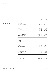#### STATEMENT OF FINANCIAL POSITION

As at 31 December 2021

|                               |      | 2021       | 2020       |
|-------------------------------|------|------------|------------|
|                               | Note | \$         | \$         |
| Assets                        |      |            |            |
| Current assets                |      |            |            |
| Cash and cash equivalents     | 4    | 1,308,859  | 1,213,107  |
| Trade and other receivables   | 5    | 88,790     | 1,093,542  |
| Inventories                   | 6    | 106,753    | 123,771    |
| Other current assets          | 9    | 212,349    | 48,154     |
| Financial assets              | 7    | 769,932    | 839,030    |
| <b>Total Current assets</b>   |      | 2,486,683  | 3,317,604  |
| Non-current assets            |      |            |            |
| Property, plant and equipment | 8    | 11,872,910 | 8,067,729  |
| Other non-current assets      | 9    | 73,667,109 | 73,136,709 |
| Total Non-current assets      |      | 85,540,019 | 81,947,750 |
| Total Assets                  |      | 88,026,702 | 84,522,042 |
| Liabilities                   |      |            |            |
| <b>Current liabilities</b>    |      |            |            |
| Trade and other payables      | 10   | 564,002    | 1,361,968  |
| <b>Borrowings</b>             | 11   | 2,036      | 1,293      |
| Provisions                    | 12   | 311,031    | 288,037    |
| Total Current liabilities     |      | 877,069    | 1,651,298  |
| Non-current liabilities       |      |            |            |
| Provisions                    | 12   | 55,073     | 19,040     |
| Total Non-current liabilities |      | 55,073     | 19,040     |
| <b>Total Liabilities</b>      |      | 932,142    | 1,670,338  |
| <b>Net Assets</b>             |      | 87,094,560 | 82,851,704 |
|                               |      |            |            |
| Equity                        |      |            |            |
| Accumulated surpluses         |      | 10,298,584 | 10,494,563 |
| Reserves                      |      | 76,795,976 | 72,357,141 |
| <b>Total Equity</b>           |      | 87,094,560 | 82,851,704 |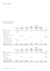### STATEMENT OF CHANGES IN EQUITY

For the Year Ended 31 December 2021

| 2021                                            | Accumulated<br>Surplus<br>\$ | Asset<br>Revaluation<br>Reserve<br>\$ | Donated<br>Artworks<br>Reserve<br>\$ | Financial<br>Assets<br>Revaluation<br>Reserve<br>\$ | Financial<br>Assets<br>Gain/(Loss)<br>on Disposal<br>Reserve<br>\$ | Equipment<br>Replacement<br>Reserve<br>\$ | Total<br>\$ |
|-------------------------------------------------|------------------------------|---------------------------------------|--------------------------------------|-----------------------------------------------------|--------------------------------------------------------------------|-------------------------------------------|-------------|
| Balance at 1 January 2021                       | 10,494,563                   | 42,003,763                            | 29,785,624                           | 129,693                                             | 251,493                                                            | 186,568                                   | 82,851,704  |
| Surplus for the year                            | 230,915                      |                                       |                                      |                                                     |                                                                    |                                           | 230,915     |
| Revaluation increments<br>(decrements)          |                              |                                       |                                      |                                                     |                                                                    |                                           |             |
| Property, Frehold and Leasehold<br>Improvements |                              | 3,828,940                             |                                      |                                                     |                                                                    | $\overline{\phantom{a}}$                  | 3,828,940   |
| <b>Financial Assets</b>                         |                              |                                       | $\overline{\phantom{a}}$             | 183,301                                             |                                                                    | $\overline{\phantom{a}}$                  | 183,301     |
| Transfers to and from reserves                  |                              |                                       |                                      |                                                     |                                                                    |                                           |             |
| Donated artworks reserve                        | (500, 400)                   |                                       | 500,400                              |                                                     |                                                                    |                                           |             |
| Equipment Replacement Reserve                   | 73,506                       |                                       |                                      |                                                     |                                                                    | (73,506)                                  |             |
| Financial Assets Revaluation<br>Reserve         |                              |                                       |                                      | (219, 687)                                          | 219,687                                                            |                                           |             |
| Balance at 31 December 2021                     | 10,298,584                   | 45,832,703                            | 30,286,024                           | 93,007                                              | 471,180                                                            | 113,062                                   | 87,094,560  |

| 2020                           | Accumulated<br>Surplus<br>S | Asset<br>Revaluation<br>Reserve<br>\$ | Donated<br>Artworks<br>Reserve<br>\$ | Financial<br>Assets<br>Revaluation<br>Reserve<br>\$ | Financial<br>Assets<br>Gain/(Loss)<br>on Disposal<br>Reserve<br>\$ | Equipment<br>Replacement<br>Reserve<br>\$ | Total<br>\$ |
|--------------------------------|-----------------------------|---------------------------------------|--------------------------------------|-----------------------------------------------------|--------------------------------------------------------------------|-------------------------------------------|-------------|
| Balance at 1 January 2020      | 10,016,315                  | 39,929,453                            | 29,181,844                           | 94,437                                              | 251,493                                                            | 186,568                                   | 79,660,110  |
| Surplus for the year           | 1,082,028                   |                                       |                                      |                                                     |                                                                    | $\sim$                                    | 1,082,028   |
| Revaluation increments         |                             |                                       |                                      |                                                     |                                                                    |                                           |             |
| Artworks                       | $\overline{\phantom{a}}$    | 2,074,310                             |                                      |                                                     |                                                                    | $\sim$                                    | 2,074,310   |
| <b>Financial Assets</b>        |                             |                                       | $\sim$                               | 35,256                                              | ÷                                                                  | $\sim$                                    | 35,256      |
| Transfers to and from reserves |                             |                                       |                                      |                                                     |                                                                    |                                           |             |
| Donated artworks reserve       | (603,780)                   | -                                     | 603,780                              |                                                     |                                                                    |                                           |             |
| Balance at 31 December 2020    | 10.494.563                  | 42,003,763                            | 29,785,624                           | 129,693                                             | 251,493                                                            | 186,568                                   | 82,851,704  |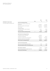#### STATEMENT OF CASH FLOWS

For the Year Ended 31 December 2021

|                                                               |      | 2021        | 2020        |
|---------------------------------------------------------------|------|-------------|-------------|
|                                                               | Note | \$          | \$          |
| Cash from operating activities:                               |      |             |             |
| Receipts from customers, donations and<br>sponsorship         |      | 2,049,587   | 1,401,881   |
| Payments to suppliers and employees                           |      | (4,524,970) | (4,398,650) |
| Grant receipts                                                |      | 2,590,476   | 3,537,518   |
| Dividends received<br>(including imputation credits refunded) |      | 38,107      | 32,066      |
| Interest received                                             |      | 7,599       | 7,068       |
| Net cash provided by operating activities                     | 17   | 160,799     | 579,883     |
|                                                               |      |             |             |
| Cash flows from investing activities:                         |      |             |             |
| Proceeds from sale of investments                             |      | 1,400,480   |             |
| Acquisition of investments                                    |      | (1,155,724) | (6, 214)    |
| Acquisition of property, plant and equipment                  |      | (280, 546)  | (318, 203)  |
| Acquisition of other non-current assets                       |      | (30,000)    | (2,400)     |
| Net cash used in investing activities                         |      | (65,790)    | (326, 817)  |
|                                                               |      |             |             |
| Cash from financing activities:                               |      |             |             |
| New short term borrowings drawn/(repaid)                      |      | 743         | (673)       |
| Net cash provided by (used in) financing activities           |      | 743         | (673)       |
|                                                               |      |             |             |
| Net increase in cash held                                     |      | 95,752      | 252,393     |
| Cash and cash equivalents at beginning of year                |      | 1,213,107   | 960,714     |
| Cash at end of financial year                                 | 4    | 1,308,859   | 1,213,107   |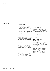## **NOTES TO THE FINANCIAL STATEMENTS**

#### NOTE 1 SUMMARY OF SIGNIFICANT ACCOUNTING POLICIES

#### a. Basis of Preparation

These financial statements are general purpose financial statements that have been prepared in accordance with Australian Accounting Standards — Reduced Disclosure Requirements and the *Australian Charities and Not-for-profits Commission Act 2012.* 

The financial report covers Heide Park and Art Gallery as a company limited by guarantee, incorporated and domiciled in Australia, and a not-for-profit company for financial reporting purposes.

Australian Accounting Standards set out accounting policies that the AASB has concluded would result in financial statements containing relevant and reliable information about transactions, events and conditions. Material accounting policies adopted in the preparation of these financial statements are presented below and have been consistently applied unless otherwise stated.

The financial statements, except for the cash flow information, have been prepared on an accrual basis and are based on historical costs, modified, where applicable, by the measurement at fair value of selected noncurrent assets, financial assets and financial liabilities.

#### b. Income Tax

No current or deferred income tax assets or liabilities have been raised by the Company as it is exempt from income tax under Division 50 of the Income Tax Assessment Act. The Company has been endorsed by the Australian Taxation Office as a Charitable Institution

and able to access various tax concessions including Income Tax Exemption.

The Company is also registered with the Australian Charities and Not-for-profits Commission.

#### c. Cash and Cash Equivalents

Cash and cash equivalents include cash on hand, deposits held at call with banks, and other short-term highly liquid investments with original maturities of three months or less.

#### d. Inventories

Inventories of goods for resale are valued at the lower of cost and net realisable value. Net realisable value is the estimated selling price in the ordinary course of business, less any applicable selling expenses.

#### e. Property, Plant and Equipment

#### *Land and buildings*

Freehold land and buildings are held at fair value. Leasehold improvements are held at fair value. It is the policy of the Company to have an independent valuation performed periodically, with annual appraisals being made by the Directors. The Company's Directors review the depreciated replacement cost of the buildings on an annual basis to ensure that the carrying values are not in excess of the valuation, as required by AASB 136 Impairment of Assets.

Increases in the carrying amount arising on revaluation of land and buildings are credited to a revaluation reserve in equity. Decreases that offset previous increases of the same asset class are charged against fair value reserves directly in equity; all other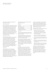<span id="page-14-0"></span>decreases are charged to the Statement of Comprehensive Income.

#### *Plant and equipment*

Plant and equipment are measured on the cost basis less depreciation and impairment losses. The carrying amount of plant and equipment is reviewed annually by Directors to ensure it is not in excess of the recoverable amount from these assets. The recoverable amount is assessed on the basis of the expected net cash flows that will be received from the assets employment and subsequent disposal. The expected net cash flows have been discounted to their present values in determining recoverable amounts.

#### *Leasehold improvements*

The Company acts as a government appointed Committee of Management with respect to the property known as Heide Park and Art Gallery. The Directors are of the opinion that the custodianship over Heide Park is permanent in nature and therefore they believe that it is appropriate to value the leasehold improvements on a basis consistent with *AASB 116: Property, Plant and Equipment (AASB 116)*. The value of capitalised leasehold improvements will be amortised over their expected useful life.

#### *Depreciation*

The depreciable amount of all property, plant and equipment including buildings and capitalised leased assets, but excluding freehold land, is depreciated on a straight-line basis over their useful lives to the Company commencing from the time the asset is held ready for use. Leasehold improvements are depreciated over the shorter of either the unexpired period of the lease or the estimated useful lives of the improvements.

The depreciation rates used for each class of depreciable assets are:

#### Buildings

| <b>Buildings</b>       | 2.5% |
|------------------------|------|
| Plant and Equipment    | 20%  |
| Computer Equipment     | 40%  |
| Leasehold improvements | 2.5% |
|                        |      |

#### *Impairment*

The assets' residual values and useful lives are reviewed, and adjusted if appropriate, at each balance sheet date.

An asset's carrying amount is written down immediately to its recoverable amount if the asset's carrying amount is greater than its estimated recoverable amount.

Gains and losses on disposals are determined by comparing proceeds with the carrying amount. These gains or losses are included in the income statement. When revalued assets are sold, amounts included in the revaluation reserve relating to that asset are transferred to retained earnings.

#### f. Leases

At inception of a contract, the Company assesses if the contract contains or is a lease. If there is a lease present, a right-ofuse asset and a corresponding lease liability is recognised by the Company where the Company is a lessee. However, all contracts that are classified as short-term leases (i.e., a lease with a remaining lease term of 12 months or less) and leases of low-value assets are recognised as an operating expense on a straight-line basis over the term of the lease.

Initially, the lease liability is measured at the present value of the lease payments still to be paid at commencement date. The lease payments are discounted at the interest rate implicit in the lease. If this rate cannot be readily determined, the Company uses the incremental borrowing rate.

Lease payments included in the measurement of the lease liability are as follows:

- fixed lease payments less any lease incentives; variable lease payments that depend on an index or rate, initially measured using the index or rate at the commencement date,
- the amount expected to be payable by the lessee under residual value guarantees,
- the exercise price of purchase options, if the lessee is reasonably certain to exercise the options,
- lease payments under extension options, if the lessee is reasonably certain to exercise the options, and
- payments of penalties for terminating the lease, if the lease term reflects the exercise of an option to terminate the lease.

The right-of-use assets comprise the initial measurement of the corresponding lease liability as mentioned above, any lease payments made at or before the commencement date, as well as any initial direct costs. The subsequent measurement of the right-of-use assets is at cost less accumulated depreciation and impairment losses.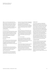Right-of-use assets are depreciated over the lease term or useful life of the underlying asset, whichever is the shortest. Where a lease transfers ownership of the underlying asset, or the cost of the right-of-use asset reflects that the Company anticipates to exercise a purchase option, the specific asset is depreciated over the useful life of the underlying asset.

#### *Concessionary leases*

For leases that have significantly below-market terms and conditions principally to enable the Company to further its objectives (commonly known as peppercorn/concessionary leases), the right-of-use assets are measured at cost on initial recognition at the date of commencement.

#### g. Financial instruments

#### *Recognition*

Financial instruments are initially measured at cost on trade date, which includes transaction costs, when the related contractual rights or obligations exist. Subsequent to initial recognition these instruments are measured as set out below.

#### *Measurement*

Financial assets at fair value through other comprehensive income comprise investments in the equity of other entities where there is neither a fixed maturity nor fixed or determinable payments.

Financial assets at fair value through other comprehensive income are recorded at fair value with any re-measurements other than

impairment losses and foreign exchange gains and losses recognised in other comprehensive income. When the financial asset is derecognized, the cumulative gain or loss pertaining to that asset previously recognized in other comprehensive income is reclassified into financial assets gain/(loss) on disposal reserve.

#### *Fair value*

Equity investments are reflected at fair value and determined based on current bid prices for quoted investments. Fair value is based on the ASX closing market bid value at balance date. Unrealised gains and losses arising from changes in fair value are taken directly to equity.

*Loans and receivables*

Loans and receivables are non-derivative financial assets with fixed or determinable payments that are not quoted in an active market and are stated at amortised cost using the effective interest rate method.

#### *Impairment*

At each reporting date, the Company assesses whether there is objective evidence that a financial instrument has been impaired. In the case of financial instruments, a prolonged decline in the value of the instrument is considered to determine whether an impairment has arisen. Impairment losses are recognised in the statement of comprehensive income.

#### h. Works of art

The Company undertook an independent valuation of the works of art in full as at 31 December 2020. The valuation was conducted by Charles Nodrum Gallery and Dwyer Fine Art. Further details of the valuation are provided as part of Note 20. Works of art are valued at fair market value and any changes to the market value of works of art held are reflected in Other Comprehensive Income. The Directors have determined that where the works of art are owned by the Company or provided to the Company under an enduring stewardship arrangement, their value should be disclosed as assets of the Company. Works of art on loan or provided to the Company under a nonenduring stewardship arrangement are not disclosed as assets of the Company. Industry standards stipulate that the Company must maintain and insure all works of art held.

#### i. Employee benefits

Provision is made for the Company's liability for employee benefits arising from services rendered by employees to balance date. Employee benefits that are expected to be settled within one year have been measured at the amounts expected to be paid when the liability is settled. Other employee benefits payable later than one year have been measured at present value. The Company has accounted for on costs on these provisions. Employer contributions to employee superannuationare charged as expenses when incurred.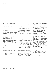#### j. Deferred income

Deferred income shown in the accounts will be recognised over the service delivery period based on the percentage of completion method. For further details refer to the revenue recognition policy that follows.

#### k. Revenue

Revenue Recognition

#### *Contributed assets*

The Company receives assets from the government and other parties for nil or nominal consideration in order to further its objectives. These assets are recognised in accordance with the recognition requirements of other applicable accounting standards (for example, AASB 9: Financial Instruments (AASB 9), AASB 16: Leases (AASB 16), AASB 116 and AASB 138: Intangible Assets (AASB 138)).

On initial recognition of an asset, the Company recognises related amounts (being contributions by owners, lease liability, financial instruments, provisions, revenue or contract liability arising from a contract with a customer).

The Company recognises income immediately in profit or loss as the difference between the initial carrying amount of the asset and the related amount.

#### *Operating grants, donations and bequests*

When the Company received operating grant revenue, donations or bequests, it assesses whether the contract is enforceable and has sufficiently specific performance obligations in accordance with AASB 15: Revenue from Contracts with Customers.

When both these conditions are satisfied, the Company:

- identifies each performance obligation relating to the grant,
- recognises a contract liability for its obligations under the agreement, and
- recognises revenue as it satisfies its performance obligations.

Where the contract is not enforceable or does not have sufficiently specific performance obligations, the Company:

- recognises the asset received in accordance with the recognition requirements of other applicable accounting standards (for example AASB 9, AASB 16, AASB 116 and AASB 138),
- recognises related amounts (being contributions by owners, lease liability, financial instruments, provisions, revenue or contract liability arising from a contract with a customer), and
- recognises income immediately in profit or loss as the difference between the initial carrying amount of the asset and the related amount.

If a contract liability is recognised as a related amount above, the Company recognises income in profit or loss when or as it satisfies its obligations under the contract.

Government grants under the Australian Government JobKeeper wage subsidy program have been recognised as revenue when the Company became entitled to receive the grants, which was assessed to be the time at which the salary and wages payments for the eligible JobKeeper fortnight were made to eligible employees.

#### *Capital Grants*

When the Company receives a capital grant, it recognises a liability for the excess of the initial carrying amount of the financial asset received over any related amounts (being contributions by owners, lease liability, financial instruments, provisions, revenue or contract liability arising from a contract with a customer) recognised under other Australian Accounting Standards.

The Company recognises income in profit or loss when or as the Company satisfies its obligations under the terms of the grant.

Donated works of art are recognised as revenue at market value at the time the works are donated.

Revenue from the sale of goods is recognised upon the delivery of goods to customers.

Interest revenue is recognised on a proportional basis taking into account the interest rates applicable to the financial assets.

Dividend revenue is recognised when the right to receive a dividend has been established.

Other revenue is recognised when the right to receive the revenue has been established.

All revenue is stated net of the amount of goods and services tax (GST).

#### l. Goods and services tax (GST)

Revenues, expenses and assets are recognised net of the amount of GST, except where the amount of GST incurred is not recoverable from the Australian Taxation Office. In these circumstances the GST is recognised as part of the cost of acquisition of the asset or as part of an item of the expense. Receivables and payables in the statement of financial position are shown inclusive of GST.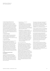#### m. Graeme Sturgeon Memorial Trust

The Graeme Sturgeon Memorial Trust is a trust established to promote the creation and appreciation of Australian contemporary sculpture. The trust funds are administered by Heide Park and Art Gallery but are excluded from the financial statements as the funds must be appropriated in accordance with the deed of trust. The financial statements of the trust have not been audited as at 31 December 2021. The unaudited financial statements of the trust disclose net available assets of \$1,721 (2020: \$1,721).

#### n. Comparative Figures

Comparative figures have been adjusted to conform to changes in presentation for the current financial year where required by accounting standards or as a result of a change in accounting policy.

#### o. Impairment of assets

At each reporting date, the Company reviews the carrying values of its tangible and intangible assets to determine whether there is any indication that those assets have been impaired. If such an indication exists, the recoverable amount of the asset, being the higher of the asset's fair value less costs to sell and value in use or where appropriate depreciated replacement cost, is compared to the asset's carrying value. Any excess of the asset's carrying value over its recoverable amount is expensed to the Statement of Profit or Loss.

#### p. Critical accounting estimates and judgments

The Directors evaluate estimates and judgments incorporated into the financial report based on historical knowledge and best available current information. Estimates assume a reasonable expectation of future events and are based on current trends and economic data, obtained both externally and within the Company.

*Key estimates – provision for long service leave*

For employee benefits that are expected to be settled more than one year after the end of the reporting period, the probability that the employee may satisfy vesting requirements have been measured based on historical employee movement and retention data over the past six years.

• *Key judgements – revenue recognition* The core principle of AASB 15 is that revenue is recognized on a basis that reflects the transfer of promised goods or services to customers at an amount that reflects the consideration of the Company expects to receive in exchange for those goods or services. The Company uses judgements in identifying the most appropriate input or output method for determining satisfaction of performance obligations over time and the time of revenue recognition for grant income on each grant agreement and information available.

#### *Land and building valuation*

Heide Cottage land and buildings are held by Heide and classified under Freehold Land and Buildings. Heide Modern and Galleries are situated on land owned by the State Government and the buildings are classified under Leasehold Improvements. The State Government conducted an independent valuation of land and buildings at 5-7 Templestowe Road in 2021. The previous State Government valuation was in 2016. The valuation method adopted by the Government's valuer establishes the fair value of the property on behalf of Creative Victoria for financial reporting purposes and Heide has determined that all Freehold land, buildings and Leasehold improvements are to be revalued in accordance with the report. The Government's valuation used a market based valuation technique for land and a depreciated replacement cost for buildings.

The valuation method used in valuing all land and buildings under Heide's control aligns with the Government's valuation methodology and timeframes. This is appropriate as Heide acts as the Government's Committee of Management for 7 Templestowe Rd. This is also consistent with the social value approach.

The 2021 valuation resulted in a net revaluation increase of \$3.8 million over all Land, Buildings and Leasehold Improvements which was taken to the Asset Valuation Reserve and other Comprehensive Income at 31st December 2021.

Land is held at fair value as determined by the revaluations. Building and leasehold improvements are held at fair value which has been determined as depreciated replacement cost value and are depreciated at a rate of 2.5%. The current use is considered the highest and best use. There are no other factors that would lead Heide to believe that any of the assets have been significantly impaired.

#### *Works of art valuations*

Heide's collection of works of art is held at fair value. Purchased works of art are initially carried at cost and subsequently revalued at fair value. Donated works of art are carried at fair value. Works of art are not depreciated as they do not have a finite useful life. Heide's collection is revalued in accordance with Heide's Collection Policy as detailed at Note 20: Fair Value Measurements.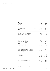## NOTE 2: REVENUE

|                                                                                                  |             | 2021<br>\$ | 2020<br>\$ |
|--------------------------------------------------------------------------------------------------|-------------|------------|------------|
| Operating activities                                                                             |             |            |            |
| Sale of goods                                                                                    |             | 358,184    | 324,243    |
| Admissions                                                                                       |             | 412,490    | 276,265    |
| Grants                                                                                           | A           | 2,377,928  | 3,423,732  |
| Donations and sponsorship                                                                        | В           | 907,961    | 658,569    |
| Interest and dividends                                                                           | $(a)$ ; (b) | 61,353     | 37,784     |
| Other                                                                                            |             | 484,280    | 188,303    |
| Total Revenue from Operating activities                                                          |             | 4,602,196  | 4,908,896  |
| (a) Dividend revenue from other corporations                                                     |             | 53,754     | 30,716     |
| (b) Interest revenue from other persons                                                          |             | 7,599      | 7,068      |
| Significant Revenue                                                                              |             |            |            |
| The following significant revenue items are relevant<br>to explaining the financial performance: |             |            |            |
| Federal Government - JobKeeper                                                                   |             | 233,100    | 1,147,950  |
| Federal Government - Cash Boost                                                                  |             |            | 100,000    |
| Victorian Government - COVID Business Support<br>Grant                                           |             | 52,400     | 20,000     |
| Creative Victoria - Operational Investment<br>Program Multi-year Funding                         |             | 1,404,660  | 1,404,660  |
| Creative Victoria - Repairs & Maintenance Grant                                                  |             | 215,519    | 292,745    |
| Creative Victoria - Capital Works Grant                                                          |             | 193,080    | 129,389    |
| Creative Victoria Strategic Investment Fund Stage 1                                              |             |            | 253,546    |
| Creative Victoria Strategic Investment Fund Stage 2                                              |             | 179,373    |            |
| Creative Victoria - Responding to COVID                                                          |             | 54,500     |            |
| Victorian Education Department                                                                   |             | 15,972     | 14,068     |
| Heritage Victoria                                                                                |             |            | 30,000     |
| Local Government                                                                                 |             | 29,324     | 31,374     |
|                                                                                                  | А           | 2,377,928  | 3,423,732  |
| Donations and sponsorship (cash)                                                                 |             | 752,175    | 513,970    |
| Donations and sponsorship (gifts in kind)                                                        |             | 155,786    | 144,599    |
|                                                                                                  | B           | 907,961    | 658,569    |
| Donated works of art (at market value)                                                           | (c)         | 500,400    | 603,780    |

(c) Donated works of art are recognised in other comprehensive income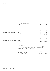|                                     |                                                 |     | 2021<br>\$ | 2020<br>\$ |
|-------------------------------------|-------------------------------------------------|-----|------------|------------|
| NOTE 3: SURPLUS FOR THE YEAR        | Surplus for the year has been determined after: |     |            |            |
|                                     | (a) Expenses from Ordinary Activities           |     |            |            |
|                                     | Depreciation of property, plant and equipment   |     | 147,188    | 130,037    |
|                                     | Amortisation of leasehold improvements          |     | 131,613    | 126,780    |
|                                     | Rental expense on low value leases              |     | 5,520      | 8,280      |
|                                     |                                                 |     | 2021<br>\$ | 2020<br>\$ |
| NOTE 4: CASH AND CASH EQUIVALENTS   | Cash on hand                                    |     | 4,846      | 4,608      |
|                                     | Cash at bank                                    |     | 1,304,013  | 1,208,499  |
|                                     |                                                 |     | 1,308,859  | 1,213,107  |
|                                     |                                                 |     | 2021<br>\$ | 2020<br>\$ |
| NOTE 5: TRADE AND OTHER RECEIVABLES | Current                                         |     |            |            |
|                                     | Trade receivables                               |     | 98,790     | 1,103,542  |
|                                     | Expected credit loss                            | (a) | (10,000)   | (10,000)   |
|                                     |                                                 |     | 88,790     | 1,093,542  |

(a) Expected credit loss

Past experience indicates that no impairment allowance is necessary in respect of trade debtors 'past due 0 – 30 days'. The movement in the expected credit loss has been determined after a review of amounts outstanding at 31 December 2021.

| Balance at 1 January 2021      | (10.000) | (10.000) |
|--------------------------------|----------|----------|
| Net increase to doubtful debts |          |          |
| Balance at 31 December 2021    | (10,000) | (10,000) |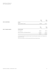<span id="page-20-0"></span>

|                                               | 2021<br>\$ | 2020<br>\$ |
|-----------------------------------------------|------------|------------|
| Current                                       |            |            |
| Goods for resale - at cost                    | 106,753    | 123,771    |
|                                               | 2021<br>\$ | 2020<br>\$ |
| <b>Financial Assets</b>                       |            |            |
| Term deposit (i)                              | 96,292     | 95,718     |
| Equity investments - ASX listed entities (ii) | 673,640    | 743,312    |
|                                               | 769,932    | 839,030    |

(i) The Heide Café Performance Bond is held in Trust and has been invested in a term deposit that expires within a year.

(ii) Fair value is based on the ASX closing market bid value at balance date.

NOTE 7: FINANCIAL ASSETS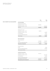<span id="page-21-0"></span>

| NOTE 8: PROPERTY PLANT AND EQUIPMENT |  |
|--------------------------------------|--|
|                                      |  |

|                                     | 2021<br>\$  | 2020<br>\$  |
|-------------------------------------|-------------|-------------|
| Land and buildings                  |             |             |
| Freehold land at fair value         |             |             |
| Independent valuation - 2021        | 6,000,000   |             |
| Independent valuation - 2016        |             | 2,950,000   |
| Total land                          | 6,000,000   | 2,950,000   |
| Buildings at fair value             |             |             |
| Independent valuation - 2021        | 508,768     |             |
| Independent valuation - 2016        |             | 449,000     |
| At cost additions                   |             | 52,767      |
| Less accumulated depreciation       |             | (42,186)    |
| Total buildings                     | 508,768     | 459,581     |
| Plant and equipment                 |             |             |
| Plant and equipment                 |             |             |
| At cost                             | 2,032,669   | 2,120,837   |
| Less accumulated depreciation       | (1,741,629) | (1,744,571) |
| Total plant and equipment           | 291,040     | 376,266     |
| Computer software                   |             |             |
| At cost                             |             | 21,654      |
| Less accumulated depreciation       |             | (21, 654)   |
| Total computer software             |             |             |
| Leasehold improvements              |             |             |
| Independent valuation - 2021        | 5,073,102   |             |
| Independent valuation in 2016       |             | 4,614,000   |
| At cost additions                   |             | 129,389     |
| Less accumulated depreciation       |             | (461, 507)  |
| Total leasehold improvements        | 5,073,102   | 4,281,882   |
| Total property, plant and equipment | 11,872,910  | 8,067,729   |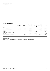#### <span id="page-22-0"></span>NOTE 8: PROPERTY PLANT AND EQUIPMENT (cont)

#### Movements in carrying amounts

|                                                       | Freehold land<br>\$      | <b>Buildings</b><br>\$   | Plant and<br>equipment<br>\$ | Computer<br>software<br>\$ | Leasehold<br>improvements<br>\$ | Total<br>\$ |
|-------------------------------------------------------|--------------------------|--------------------------|------------------------------|----------------------------|---------------------------------|-------------|
| 2021                                                  |                          |                          |                              |                            |                                 |             |
| Balance at the beginning of year                      | 2,950,000                | 459.581                  | 376,266                      |                            | 4,281,882                       | 8,067,729   |
| Additions                                             |                          |                          | 61,962                       |                            | 193.080                         | 255,042     |
| <b>Disposals</b>                                      |                          | $\overline{\phantom{0}}$ | (150, 131)                   | 21.654                     |                                 | (128, 477)  |
| Writeback of accumulated depreciation on<br>disposals | $\overline{\phantom{0}}$ | $\overline{\phantom{0}}$ | 150.131                      | (21, 654)                  |                                 | 128,477     |
| Depreciation/amortisation expense                     |                          | (12,405)                 | (147,188)                    |                            | (119, 208)                      | (278, 801)  |
| Revaluation increment                                 | 3,050,000                | 61,592                   |                              |                            | 717.348                         | 3,828,940   |
| Carrying amount at the end of year                    | 6,000,000                | 508,768                  | 291,040                      |                            | 5,073,102                       | 11,872,910  |
|                                                       |                          |                          |                              |                            |                                 |             |

Concessionary leases

The company classifies the property and building on Crown Land as concessionary leases (refer Note 1f).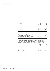#### <span id="page-23-0"></span>NOTE 9: OTHER ASSETS

|                                                   | 2021       | 2020       |
|---------------------------------------------------|------------|------------|
|                                                   | \$         | \$         |
| Current                                           |            |            |
| Prepayments                                       | 90,489     | 43,493     |
| Accrued income                                    | 121,860    | 4,661      |
|                                                   | 212,349    | 48,154     |
| Non-current                                       |            |            |
| Works of art                                      | 73,547,470 | 73,017,070 |
| Archive materials                                 | 119,639    | 119,639    |
|                                                   | 73,667,109 | 73,136,709 |
| Works of Art, Directors' basis of valuation:      |            |            |
| Opening balance at 1 January                      | 73,017,070 | 70,338,981 |
| Increase in valuation of existing artwork         |            | 2,074,309  |
| Donations received based on independent valuation | 500,400    | 603,780    |
| Acquisition at cost - works of art                | 30,000     |            |
| Balance at 31 December                            | 73,547,470 | 73,017,070 |

In addition to the works of art owned by the Company or subject to enduring stewardship arrangement disclosed above, the value of works of art on long-term loan to the company or subject to non-enduring stewardship arrangements total \$7,903,500 which has not been recorded as an asset of the company.

|                              | 2021<br>\$ | 2020<br>\$ |
|------------------------------|------------|------------|
| Archive Materials at cost:   |            |            |
| Opening balance at 1 January | 119.639    | 117,239    |
| Additions at cost            |            | 2.400      |
| Balance at 31 December       | 119.639    | 119,639    |

Archives represent materials of the late Mirka Mora that were acquired through auction and private sale in 2019.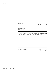#### NOTE 10: TRADE AND OTHER PAYABLES

|                                                 | \$      | \$        |
|-------------------------------------------------|---------|-----------|
| Current                                         |         |           |
| Unsecured liabilities                           |         |           |
| Trade payables                                  | 262,666 | 114,796   |
| Other payables                                  |         |           |
| - Deferred income                               | 153,030 | 1,070,337 |
| - Other payables (GST)                          |         | 42,123    |
| - Employee accruals                             | 60,782  | 47,188    |
| Café Heide Performance Bond (held in Trust) (i) | 87,524  | 87,524    |
|                                                 | 564,002 | 1,361,968 |

2021

2020

(i) The Cafe is managed by Orletto Holdings operating as Heide Cafe. The Heide Cafe performance bond is held in trust and refundable at the expiration of the café agreement or if the terms of the lease agreement are contravened in accordance with the contract.

|                             | 2021<br>\$ | 2020<br>\$ |
|-----------------------------|------------|------------|
| Current                     |            |            |
| Credit card amounts payable | 2,036      | 1,293      |
|                             | 2,036      | 1,293      |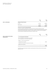|                              | 2021<br>\$ | 2020<br>\$ |
|------------------------------|------------|------------|
| Analysis of Total Provisions |            |            |
| Current                      | 311,031    | 288,037    |
| Non-Current                  | 55,073     | 19,040     |
|                              | 366,104    | 307,077    |

#### Provision for Long-term Employee Benefits

A provision has been recognised for employee entitlements relating to long service leave. In calculating the present value of future cash flows in respect of long service leave, the probability of long service leave being taken is based on historical data. The measurement and recognition criteria relating to employee benefits have been included in Note 1.

|                                                                                                    | 2021<br>\$ | 2020<br>\$ |
|----------------------------------------------------------------------------------------------------|------------|------------|
| a. Low value lease commitments                                                                     |            |            |
| Non-cancellable low value leases contracted for<br>but not capitalised in the financial statements |            |            |
| Payable-minimum lease payments:                                                                    |            |            |
| • not later than 12 months                                                                         |            | 5.520      |
| • later than 12 months but not later than five years                                               |            |            |
| • greater than five years                                                                          |            |            |
|                                                                                                    |            | 5.520      |

The 2020 low value lease balance relates to a photocopier and 3 laser printers (contract expired September 2021).

#### <span id="page-25-0"></span>NOTE 12: PROVISIONS

#### NOTE 13: CAPITAL AND LEASING **COMMITMENTS**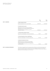<span id="page-26-0"></span>

|                                                                                                                                                                | \$                                         | \$                    |
|----------------------------------------------------------------------------------------------------------------------------------------------------------------|--------------------------------------------|-----------------------|
| a. Asset revaluation reserve                                                                                                                                   |                                            |                       |
| Records revaluations of non-current assets                                                                                                                     | 45,832,703                                 | 42,003,763            |
| b. Donated artworks reserve                                                                                                                                    |                                            |                       |
| Represents the value of works of art donated or<br>bequeathed to the company. Subsequent revaluations<br>of the Works of Art are recognised in the Asset       |                                            |                       |
|                                                                                                                                                                |                                            | 29,785,624            |
| c. Financial asset revaluation reserve                                                                                                                         |                                            |                       |
| Records the unrealised gain on financial investments                                                                                                           | 93,007                                     | 129,693               |
| d. Financial Asset Gain /(loss) on Sale Reserve                                                                                                                |                                            |                       |
| Records the realised gain on financial investments                                                                                                             | 471,180                                    | 251,493               |
| e. Equipment replacement reserve                                                                                                                               |                                            |                       |
| Represents the joint contribution of the company<br>and licenced operator of the café operator (Orletto<br>Holdings trading as Heide Café) to fund replacement |                                            | 186,568               |
|                                                                                                                                                                | Revaluation Reserve.<br>of café equipment. | 30,286,024<br>113,062 |

#### NOTE 15: ECONOMIC DEPENDENCE

The company is dependent upon the ongoing receipt of State and Local Government grants and community and philanthrophic donations to ensure the ongoing continuance of its exhibition, education and public programs. At the date of this report, the Board of Directors has no reason to believe that this financial support will not continue.

2021

2020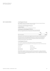#### <span id="page-27-0"></span>NOTE 16: RELATED PARTIES a. Key Management Personnel

Key management personnel are determined to be the Board of Directors, Executive Director, Artistic Director, Development Director and Senior Curator.

#### b. Transactions with Key Management Personnel

#### i. Loans to Directors

During 2021, there were no new or existing loans to directors.

#### ii. Compensation for Key Management Personnel

Directors of the Company have not been remunerated for the financial year. Other key management personnel compensation comprised the following:

|                     | 2021    | 2020    |
|---------------------|---------|---------|
|                     |         | \$      |
| Short term benefits | 570,620 | 482,246 |

Compensation of the Company's key management personnel includes only salaries and eligible termination payments. Key management personnel do not receive any non-cash benefits, contributions to a post-employment defined benefit plan or other termination benefits. Key management personnel may receive long-term employment benefits when the requisite continuous service period of 7 years is attained.

#### iii. Key Management Personnel

The Company's related parties include its Board of Directors as described below.

The names of the persons who were Directors of the Company for all or part of the financial year are listed below.

| Lisa Gorman     | Sue Smith           |
|-----------------|---------------------|
| John Lee        | Nancy Underhill     |
| Cassy Liberman  | James Van Smeerdijk |
| Steven Skala AO | Sharni Zoch         |

Certain Director-related transactions occur within a normal customer or supplier relationship on terms and conditions no more favourable than those with which it is reasonable to expect the Company would have adopted if dealing with the Director or Director-related entity at arm's length in similar circumstances.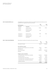#### NOTE 16: RELATED PARTIES (cont.)

The aggregate value of transactions related to key management personnel and entities over which they have control or significant influence were as follows:

| Key Management |                                   | 2021<br>\$ | 2020<br>\$ |
|----------------|-----------------------------------|------------|------------|
| Personnel      | Transaction                       |            |            |
| Directors      | Donations (cash)                  | 40,000     | 37,616     |
| Directors      | Donations (in-kind)               |            |            |
| Directors      | Purchase of goods<br>and services | 1,400      |            |
| Management     | Donations (cash)                  | 3,650      | 6,350      |
| Management     | Donations (in-kind)               |            |            |
| Management     | Purchase of goods<br>and services | 1,777      |            |

NOTE 17: CASH FLOW INFORMATION Reconciliation of cashflow from operations with surplus for the year

|                                                     | 2021<br>\$ | 2020<br>\$ |
|-----------------------------------------------------|------------|------------|
| Net surplus for the year                            | 230,915    | 1,082,028  |
| Non-cash flows in surplus:                          |            |            |
| Depreciation and amortisation of non-current assets | 278,801    | 256,817    |
| Brokerage costs                                     | 8,707      |            |
| Works of art (donated)                              | (500, 400) | (603,780)  |
| <b>Bad Debts</b>                                    |            | 9,909      |
| Changes in assets and liabilities:                  |            |            |
| (Increase)/decrease in trade and term receivables   | 1,004,752  | (248,560)  |
| Decrease inventories                                | 17,018     | 16,037     |
| (Increase)/decrease in other assets                 | (164, 769) | 137,335    |
| Increase/(decrease) in trade payables and accruals  | 144,055    | (271, 357) |
| Increase/(decrease) in other grants and advance     | (917, 307) | 180,908    |
| Increase in provisions                              | 59,027     | 20,546     |
|                                                     | 160,799    | 579,883    |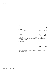#### NOTE 18: FINANCIAL RISK MANAGEMENT

The Company's financial instruments consist mainly of deposits with banks, local money market instruments, accounts receivable and payables.

The totals for each category of financial instruments, measured in accordance with AASB 9: Financial Instruments as detailed in the accounting policies to these financial statements, are as follows:

|                             | 2021<br>\$ | 2020<br>\$ |
|-----------------------------|------------|------------|
| <b>Financial assets</b>     |            |            |
| Cash and cash equivalents   | 1,308,859  | 1,213,107  |
| Trade and other receivables | 88.790     | 1,093,542  |
| Term deposit                | 96.292     | 95,718     |
| Equity investments          | 673.640    | 743,312    |
|                             | 2,167,581  | 3,145,679  |

An Investment Committee has been established by the Heide Board to assist in the discharge of its statutory, regulatory and fiduciary responsibilities in relation to the prudent management and investment of the assets of Heide.

#### Financial Liabilities

Financial liabilities at amortised cost:

|                          | 325.484 | 163,277 |
|--------------------------|---------|---------|
| Borrowings               | 2.036   | 1.293   |
| Trade and other payables | 323.448 | 161.984 |

#### Net Fair Values

(i) For listed financial assets the fair values have been based on closing quoted bid prices at the end of the reporting period.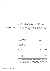#### NOTE 19: CONTRA SPONSORSHIP

Heide receives sponsorship in the form of graphic design, printing, catering, photography and advertising and pro bono legal advice in exchange for promoting the provider as a corporate supporter of the gallery. The value of contra sponsorship included in the financial statements at Note 2 Revenue: Donations and Sponsorship (gifts in kind) is \$155,786 (2020: \$144,599).

NOTE 20: FAIR VALUE MEASUREMENTS The Company has the following assets as set out in the table below that are measured at fair value on a recurring basis after their initial recognition. The Company does not subsequently measure any liabilities at fair value on a recurring basis and has no assets or liabilities that are remeasured at fair value on a non-recurring basis as per AASB 13.

|                                   |      | 2021<br>\$ | 2020<br>\$ |
|-----------------------------------|------|------------|------------|
| Recurring fair value measurements |      |            |            |
| Financial assets                  |      |            |            |
| Shares in listed corporations     | (i)  | 673,640    | 743,312    |
| Property, plant and equipment     |      |            |            |
| Freehold land at fair value       | (ii) | 6,000,000  | 2,950,000  |
| Buildings at fair value           |      |            |            |
| Independent valuation in 2021     |      | 508,768    |            |
| Independent valuation in 2016     |      |            | 449,000    |
| Additions at cost                 |      |            | 52,767     |
| Less accumulated depreciation     |      |            | (42, 186)  |
| Total buildings                   |      | 508,768    | 459,581    |
| Leasehold improvements            |      |            |            |
| Independent valuation in 2021     |      | 5,073,102  |            |
| Independent valuation in 2016     |      |            | 4,614,000  |
| Additions at cost                 |      |            | 129,389    |
| Less accumulated depreciation     |      |            | (461, 507) |
| Total leasehold improvements      |      | 5,073,102  | 4,281,882  |

(i) For investments in shares, the fair values have been determined based on closing bid prices at the end of the reporting period.

(ii) For freehold land and buildings, the fair values are based on the State Government's valuation undertaken in 2021, which used comparable market data for similar properties.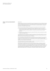#### <span id="page-31-0"></span>NOTE 20 FAIR VALUE MEASUREMENTS (cont'd)

#### *Works of Art*

Heide's collection of works of art is held at fair value. Purchased works of art are initially carried at cost and subsequently revalued at fair value. Donated works of art are carried at fair value. Works of art are not depreciated as they do not have a finite useful life. Heide's collection is revalued in accordance with Heide's collection policy.

Every three years Heide undertakes a full valuation of the collection. At minimum this entails:

- a) All works over \$100,000 to be independently valued. Independent valuation may refer to a process of outsourcing all valuation research, documentation and review, to an external party or undertaking research and documentation in-house with an external review of revised valuations.
- b) The balance of the collection being works valued at \$100,000 or less to be valued from quality images and catalogue details.

The average inflation rate calculated through the revaluation of this random selection of works is applied across the entire collection, with the exception of those works revalued under point a), or works acquired and valued during the year of valuation.

On an annual basis curatorial staff review any extraordinary issues arising which may reasonably be expected to affect possible impairment or escalation of value of works of art (e.g. damage, change in circumstances of the artist, market fluctuations, etc.) and obtain additional valuations to address such circumstances as appropriate.

All works donated within the year are subject to valuation and presented to the Board in an Acquisition Proposal as part of the acquisition process.

Charles Nodrum, an approved valuer under the Cultural Gifts Program, undertook a valuation of the collection (except for four works transferred to Heide from the Albert & Barbara Tucker Foundation loan collection) as at 31 December 2020 and valued the collection at \$72,631,070. The four works transferred from the Albert & Barbara Tucker Foundation loan collection in 2020 were valued by Dwyer Fine Art at \$386,000. In 2021 Heide received donated works of art at a value of \$500,400 (2020: \$603,780). This is reflected in the collection valuation (Note 9 Other Assets).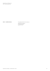NOTE 21 COMPANY DETAILS The registered office of the company is: Heide Park & Art Gallery 7 Templestowe Road Bulleen VIC 3105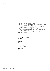#### DIRECTORS' DECLARATION

In the opinion of the Directors of Heide Park & Art Gallery:

(a) The financial statements and notes of Heide are in accordance with the Australian Charities and Not-for-profits Commission Act 2012, including:

- (i) Giving a true and fair view of its financial position as at 31 December 2021 and of its performance for the financial year ended on that date; and
- (ii) Complying with Australian Accounting Standards Reduced Disclosure Requirements (including the Australian Accounting Interpretations) and the Australian Charities and Not-for-profits Commission Act 2012; and

(b) There are reasonable grounds to believe that Heide will be able to pay its debts as and when they become due and payable..

Signed in accordance with a resolution of the Directors:

Sharni Zoch Director

Hu. Del

Steven Skala AO Chairman

Dated the 9th of May 2022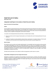

**ABN: 60 005 712 943** 

# **Independent Audit Report to the members of Heide Park and Art Gallery**

## **Report on the Audit of the Financial Report**

#### **Opinion**

We have audited the accompanying financial report, being a general purpose financial report of Heide Park and Art Gallery (the Company), which comprises the statement of financial position as at 31 December 2021, the statement of profit or loss and other comprehensive income, the statement of changes in equity and the statement of cash flows for the year then ended, and notes to the financial statements, including a summary of significant accounting policies, and the directors' declaration.

In our opinion, the accompanying financial report presents fairly, in all material respects, including:

- ended; and (i) giving a true and fair view of the Company's financial position as at 31 December 2021 and of its financial performance for the year
- (ii) complying with Australian Accounting Standards (reduced disclosure requirements), the Australian Charities and Not-for-profits Commission Act 2012 and Division 60 of the Australian Charities and Not-for-profits Commission Regulation 2013.

## **Basis for Opinion**

We conducted our audit in accordance with Australian Auditing Standards. Our responsibilities under those standards are further described in the Auditor's Responsibilities for the Audit of the Financial Report section of our report. We are independent of the Company in accordance with the auditor independence requirements of Division 60 of the *Australian Charities and Not-for-profits Commission Act 2012* and the ethical requirements of the Accounting Professional and Ethical Standards Board's APES 110 *Code of Ethics for Professional Accountants* (the Code) that are relevant to our audit of the financial report in Australia. We have also fulfilled our other ethical responsibilities in accordance with the Code.

We believe that the audit evidence we have obtained is sufficient and appropriate to provide a basis for our opinion.

#### **Responsibilities of Management and Those Charged with Governance**

Management is responsible for the preparation and fair presentation of the financial report in accordance with Australian Accounting Standards and Division 60 of the Australian Charities and Not-for-profits Commission Act 2012 and for such internal control as management determines is necessary to enable the preparation of the financial report that gives a true and fair view and is free from material misstatement, whether due to fraud or error.

20 Albert St, PO Box 256, Blackburn VIC 3130 T+61 3 9894 2500 F+61 3 9894 1622 contact@sawarddawson.com.au sawarddawson.com.au



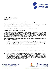

**ABN: 60 005 712 943** 

# **Independent Audit Report to the members of Heide Park and Art Gallery**

In preparing the financial report, management is responsible for assessing the Company's ability to continue as a going concern, disclosing, as applicable, matters related to going concern and using the going concern basis of accounting unless management either intends to liquidate the Company or to cease operations, or has no realistic alternative but to do so.

Those charged with governance are responsible for overseeing the Company's financial reporting process.

#### **Auditor's Responsibilities for the Audit of the Financial Report**

 reasonably be expected to influence the economic decisions of users taken on the basis of the financial report. Our objectives are to obtain reasonable assurance about whether the financial report as a whole is free from material misstatement, whether due to fraud or error, and to issue an auditor's report that includes our opinion. Reasonable assurance is a high level of assurance, but is not a guarantee that an audit conducted in accordance with Australian Auditing Standards will always detect a material misstatement when it exists. Misstatements can arise from fraud or error and are considered material if, individually or in the aggregate, they could

As part of an audit in accordance with the Australian Auditing Standards, we exercise professional judgement and maintain professional scepticism throughout the audit. We also:

- Identify and assess the risks of material misstatement of the financial report, whether due to fraud or error, design and perform audit procedures responsive to those risks, and obtain audit evidence that is sufficient and appropriate to provide a basis for our opinion. The risk of not detecting a material misstatement resulting from fraud is higher than for one resulting from error, as fraud may involve collusion, forgery, intentional omissions, misrepresentations, or the override of internal control.
- Obtain an understanding of internal control relevant to the audit in order to design audit procedures that are appropriate in the circumstances, but not for the purpose of expressing an opinion on the effectiveness of the Company's internal control.
- Evaluate the appropriateness of accounting policies used and the reasonableness of accounting estimates and related disclosures made by the directors.
- Conclude on the appropriateness of the directors' use of the going concern basis of accounting and, based on the audit evidence obtained, whether a material uncertainty exists related to events or conditions that may cast significant doubt on the Company's ability to continue as a going concern. If we conclude that a material uncertainty exists, we are required to draw attention in our auditor's report to the related disclosures in the financial report or, if such disclosures are inadequate, to modify our opinion. Our conclusions are based on the audit evidence obtained up to the date of our auditor's report. However, future events or conditions may cause the Company to cease to continue as a going concern.

20 Albert St, PO Box 256, Blackburn VIC 3130 T+61 3 9894 2500 F+61 3 9894 1622 contact@sawarddawson.com.au sawarddawson.com.au